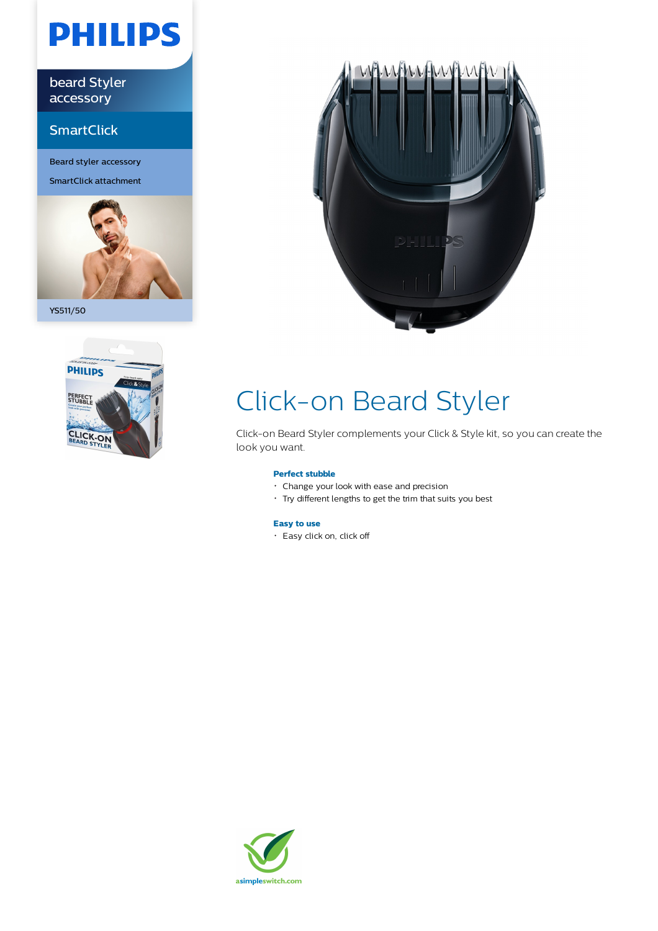# **PHILIPS**

beard Styler accessory

### **SmartClick**

Beard styler accessory SmartClick attachment



YS511/50





## Click-on Beard Styler

Click-on Beard Styler complements your Click & Style kit, so you can create the look you want.

#### **Perfect stubble**

- Change your look with ease and precision
- Try different lengths to get the trim that suits you best

### **Easy to use**

Easy click on, click off